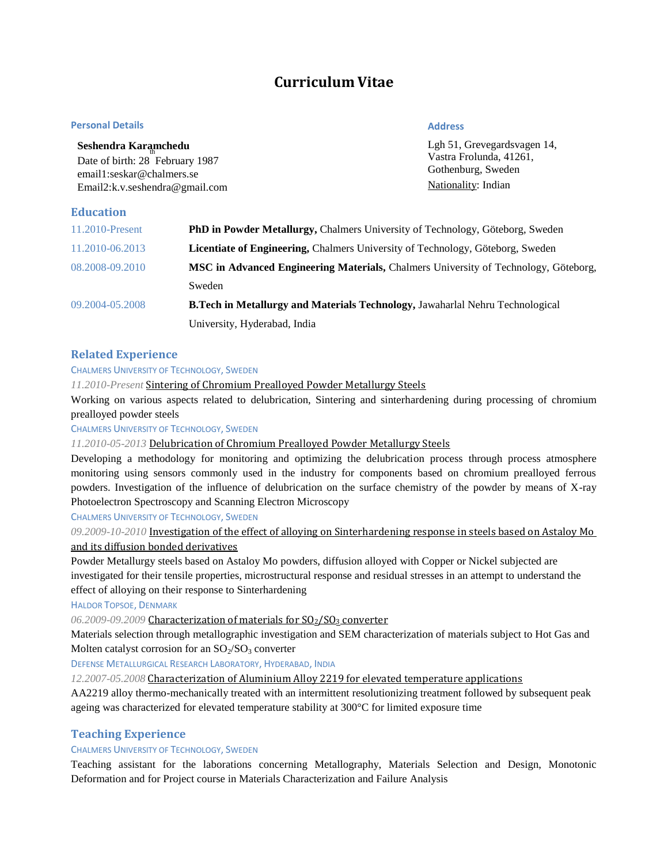# **Curriculum Vitae**

#### **Personal Details**

## **Address**

| Seshendra Karamchedu            | Lgh 51, Grevegardsvagen 14, |
|---------------------------------|-----------------------------|
| Date of birth: 28 February 1987 | Vastra Frolunda, 41261.     |
| email1:seskar@chalmers.se       | Gothenburg, Sweden          |
| Email2:k.v.seshendra@gmail.com  | Nationality: Indian         |

# **Education**

| 11.2010-Present | <b>PhD in Powder Metallurgy, Chalmers University of Technology, Göteborg, Sweden</b>  |  |
|-----------------|---------------------------------------------------------------------------------------|--|
| 11.2010-06.2013 | <b>Licentiate of Engineering, Chalmers University of Technology, Göteborg, Sweden</b> |  |
| 08.2008-09.2010 | MSC in Advanced Engineering Materials, Chalmers University of Technology, Göteborg,   |  |
|                 | Sweden                                                                                |  |
| 09.2004-05.2008 | B. Tech in Metallurgy and Materials Technology, Jawaharlal Nehru Technological        |  |
|                 | University, Hyderabad, India                                                          |  |

### **Related Experience**

#### CHALMERS UNIVERSITY OF TECHNOLOGY, SWEDEN

*11.2010-Present* Sintering of Chromium Prealloyed Powder Metallurgy Steels

Working on various aspects related to delubrication, Sintering and sinterhardening during processing of chromium prealloyed powder steels

#### CHALMERS UNIVERSITY OF TECHNOLOGY, SWEDEN

*11.2010-05-2013* Delubrication of Chromium Prealloyed Powder Metallurgy Steels

Developing a methodology for monitoring and optimizing the delubrication process through process atmosphere monitoring using sensors commonly used in the industry for components based on chromium prealloyed ferrous powders. Investigation of the influence of delubrication on the surface chemistry of the powder by means of X-ray Photoelectron Spectroscopy and Scanning Electron Microscopy

CHALMERS UNIVERSITY OF TECHNOLOGY, SWEDEN

*09.2009-10-2010* Investigation of the effect of alloying on Sinterhardening response in steels based on Astaloy Mo and its diffusion bonded derivatives

Powder Metallurgy steels based on Astaloy Mo powders, diffusion alloyed with Copper or Nickel subjected are investigated for their tensile properties, microstructural response and residual stresses in an attempt to understand the effect of alloying on their response to Sinterhardening

HALDOR TOPSOE, DENMARK

06.2009-09.2009 Characterization of materials for SO<sub>2</sub>/SO<sub>3</sub> converter

Materials selection through metallographic investigation and SEM characterization of materials subject to Hot Gas and Molten catalyst corrosion for an  $SO_2/SO_3$  converter

DEFENSE METALLURGICAL RESEARCH LABORATORY, HYDERABAD, INDIA

*12.2007-05.2008* Characterization of Aluminium Alloy 2219 for elevated temperature applications

AA2219 alloy thermo-mechanically treated with an intermittent resolutionizing treatment followed by subsequent peak ageing was characterized for elevated temperature stability at  $300^{\circ}$ C for limited exposure time

## **Teaching Experience**

#### CHALMERS UNIVERSITY OF TECHNOLOGY, SWEDEN

Teaching assistant for the laborations concerning Metallography, Materials Selection and Design, Monotonic Deformation and for Project course in Materials Characterization and Failure Analysis